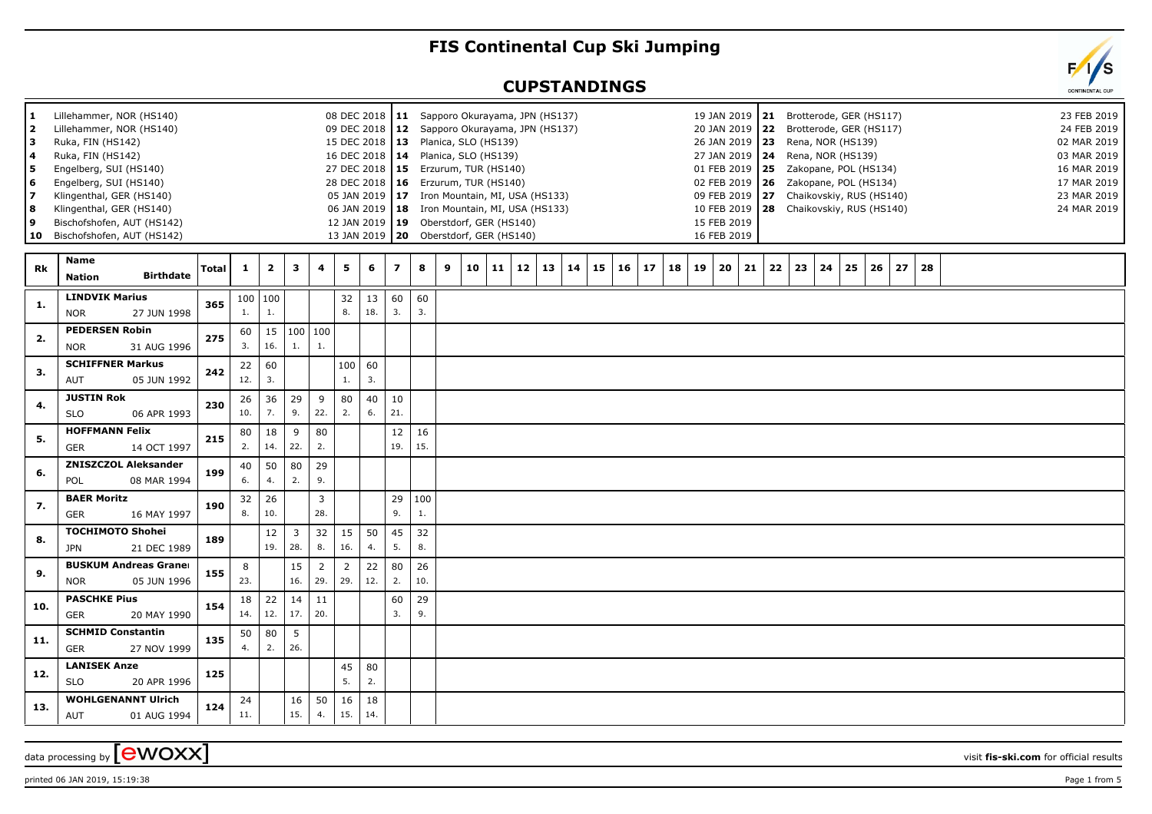## **FIS Continental Cup Ski Jumping**

## **CUPSTANDINGS**

| 1.<br>$\overline{\mathbf{2}}$<br>з<br>4<br>5<br>6<br>$\overline{7}$<br>8<br>9<br>10 | Lillehammer, NOR (HS140)<br>Lillehammer, NOR (HS140)<br>Ruka, FIN (HS142)<br>Ruka, FIN (HS142)<br>Engelberg, SUI (HS140)<br>Engelberg, SUI (HS140)<br>Klingenthal, GER (HS140)<br>Klingenthal, GER (HS140)<br>Bischofshofen, AUT (HS142)<br>Bischofshofen, AUT (HS142) |       |              |                         |                                |                         |                        |                |                |           | 08 DEC 2018   11 Sapporo Okurayama, JPN (HS137)<br>09 DEC 2018   12 Sapporo Okurayama, JPN (HS137)<br>15 DEC 2018   13 Planica, SLO (HS139)<br>16 DEC 2018   14 Planica, SLO (HS139)<br>27 DEC 2018   15 Erzurum, TUR (HS140)<br>28 DEC 2018   16 Erzurum, TUR (HS140)<br>05 JAN 2019   17 Iron Mountain, MI, USA (HS133)<br>06 JAN 2019   18 Iron Mountain, MI, USA (HS133)<br>12 JAN 2019   19 Oberstdorf, GER (HS140)<br>13 JAN 2019   20 Oberstdorf, GER (HS140) |          |    |          |          |    | 19 JAN 2019<br>20 JAN 2019<br>26 JAN 2019   23 Rena, NOR (HS139)<br>27 JAN 2019   24 Rena, NOR (HS139)<br>01 FEB 2019   25     Zakopane, POL (HS134)<br>02 FEB 2019   26  Zakopane, POL (HS134)<br>09 FEB 2019<br>10 FEB 2019<br>15 FEB 2019<br>16 FEB 2019 |    |    | 21 Brotterode, GER (HS117)<br>22 Brotterode, GER (HS117)<br>27 Chaikovskiy, RUS (HS140)<br>28 Chaikovskiy, RUS (HS140) |    |          |    |  |  | 02 MAR 2019<br>03 MAR 2019<br>16 MAR 2019<br>17 MAR 2019<br>23 MAR 2019<br>24 MAR 2019 | 23 FEB 2019<br>24 FEB 2019 |
|-------------------------------------------------------------------------------------|------------------------------------------------------------------------------------------------------------------------------------------------------------------------------------------------------------------------------------------------------------------------|-------|--------------|-------------------------|--------------------------------|-------------------------|------------------------|----------------|----------------|-----------|----------------------------------------------------------------------------------------------------------------------------------------------------------------------------------------------------------------------------------------------------------------------------------------------------------------------------------------------------------------------------------------------------------------------------------------------------------------------|----------|----|----------|----------|----|-------------------------------------------------------------------------------------------------------------------------------------------------------------------------------------------------------------------------------------------------------------|----|----|------------------------------------------------------------------------------------------------------------------------|----|----------|----|--|--|----------------------------------------------------------------------------------------|----------------------------|
| Rk                                                                                  | Name<br><b>Birthdate</b><br><b>Nation</b>                                                                                                                                                                                                                              | Total | $\mathbf{1}$ | $\overline{\mathbf{2}}$ | 3                              | $\overline{\mathbf{4}}$ | 5                      | 6              | $\overline{ }$ | 8         | 9<br>10<br>11                                                                                                                                                                                                                                                                                                                                                                                                                                                        | 12<br>13 | 14 | 15<br>16 | 17<br>18 | 19 | 20<br>21                                                                                                                                                                                                                                                    | 22 | 23 | 24                                                                                                                     | 25 | 26<br>27 | 28 |  |  |                                                                                        |                            |
| 1.                                                                                  | <b>LINDVIK Marius</b><br><b>NOR</b><br>27 JUN 1998                                                                                                                                                                                                                     | 365   | 1.           | 100   100<br>1.         |                                |                         | 32<br>8.               | 13<br>18.      | 60<br>3.       | 60<br>3.  |                                                                                                                                                                                                                                                                                                                                                                                                                                                                      |          |    |          |          |    |                                                                                                                                                                                                                                                             |    |    |                                                                                                                        |    |          |    |  |  |                                                                                        |                            |
| 2.                                                                                  | <b>PEDERSEN Robin</b><br><b>NOR</b><br>31 AUG 1996                                                                                                                                                                                                                     | 275   | 60<br>3.     | 15<br>16.               | 1.                             | 100 100<br>1.           |                        |                |                |           |                                                                                                                                                                                                                                                                                                                                                                                                                                                                      |          |    |          |          |    |                                                                                                                                                                                                                                                             |    |    |                                                                                                                        |    |          |    |  |  |                                                                                        |                            |
| 3.                                                                                  | <b>SCHIFFNER Markus</b><br>AUT<br>05 JUN 1992                                                                                                                                                                                                                          | 242   | 22<br>12.    | 60<br>3.                |                                |                         | 1.                     | 100   60<br>3. |                |           |                                                                                                                                                                                                                                                                                                                                                                                                                                                                      |          |    |          |          |    |                                                                                                                                                                                                                                                             |    |    |                                                                                                                        |    |          |    |  |  |                                                                                        |                            |
| 4.                                                                                  | <b>JUSTIN Rok</b><br><b>SLO</b><br>06 APR 1993                                                                                                                                                                                                                         | 230   | 26<br>10.    | 36<br>7.                | 29<br>9.                       | 9<br>22.                | 80<br>2.               | 40<br>6.       | 10<br>21.      |           |                                                                                                                                                                                                                                                                                                                                                                                                                                                                      |          |    |          |          |    |                                                                                                                                                                                                                                                             |    |    |                                                                                                                        |    |          |    |  |  |                                                                                        |                            |
| 5.                                                                                  | <b>HOFFMANN Felix</b><br><b>GER</b><br>14 OCT 1997                                                                                                                                                                                                                     | 215   | 80<br>2.     | 18<br>14.               | 9<br>22.                       | 80<br>2.                |                        |                | 12<br>19.      | 16<br>15. |                                                                                                                                                                                                                                                                                                                                                                                                                                                                      |          |    |          |          |    |                                                                                                                                                                                                                                                             |    |    |                                                                                                                        |    |          |    |  |  |                                                                                        |                            |
| 6.                                                                                  | <b>ZNISZCZOL Aleksander</b><br>08 MAR 1994<br>POL                                                                                                                                                                                                                      | 199   | 40<br>6.     | 50<br>4.                | 80<br>2.                       | 29<br>9.                |                        |                |                |           |                                                                                                                                                                                                                                                                                                                                                                                                                                                                      |          |    |          |          |    |                                                                                                                                                                                                                                                             |    |    |                                                                                                                        |    |          |    |  |  |                                                                                        |                            |
| 7.                                                                                  | <b>BAER Moritz</b><br><b>GER</b><br>16 MAY 1997                                                                                                                                                                                                                        | 190   | 32<br>8.     | 26<br>10.               |                                | $\overline{3}$<br>28.   |                        |                | 29<br>9.       | 100<br>1. |                                                                                                                                                                                                                                                                                                                                                                                                                                                                      |          |    |          |          |    |                                                                                                                                                                                                                                                             |    |    |                                                                                                                        |    |          |    |  |  |                                                                                        |                            |
| 8.                                                                                  | <b>TOCHIMOTO Shohei</b><br><b>JPN</b><br>21 DEC 1989                                                                                                                                                                                                                   | 189   |              | 12<br>19.               | $\overline{\mathbf{3}}$<br>28. | 32<br>8.                | 15 <sup>1</sup><br>16. | 50<br>4.       | 45<br>5.       | 32<br>8.  |                                                                                                                                                                                                                                                                                                                                                                                                                                                                      |          |    |          |          |    |                                                                                                                                                                                                                                                             |    |    |                                                                                                                        |    |          |    |  |  |                                                                                        |                            |
| 9.                                                                                  | <b>BUSKUM Andreas Graner</b><br>05 JUN 1996<br><b>NOR</b>                                                                                                                                                                                                              | 155   | 8<br>23.     |                         | 15<br>16.                      | $\overline{2}$<br>29.   | $\overline{2}$<br>29.  | 22<br>12.      | 80<br>2.       | 26<br>10. |                                                                                                                                                                                                                                                                                                                                                                                                                                                                      |          |    |          |          |    |                                                                                                                                                                                                                                                             |    |    |                                                                                                                        |    |          |    |  |  |                                                                                        |                            |
| 10.                                                                                 | <b>PASCHKE Pius</b><br><b>GER</b><br>20 MAY 1990                                                                                                                                                                                                                       | 154   | 18<br>14.    | 22<br>12.               | 14<br>17.                      | 11<br>20.               |                        |                | 60<br>3.       | 29<br>9.  |                                                                                                                                                                                                                                                                                                                                                                                                                                                                      |          |    |          |          |    |                                                                                                                                                                                                                                                             |    |    |                                                                                                                        |    |          |    |  |  |                                                                                        |                            |
| 11.                                                                                 | <b>SCHMID Constantin</b><br><b>GER</b><br>27 NOV 1999                                                                                                                                                                                                                  | 135   | 50<br>4.     | 80<br>2.                | 5<br>26.                       |                         |                        |                |                |           |                                                                                                                                                                                                                                                                                                                                                                                                                                                                      |          |    |          |          |    |                                                                                                                                                                                                                                                             |    |    |                                                                                                                        |    |          |    |  |  |                                                                                        |                            |
| 12.                                                                                 | <b>LANISEK Anze</b><br><b>SLO</b><br>20 APR 1996                                                                                                                                                                                                                       | 125   |              |                         |                                |                         | 45<br>5.               | 80<br>2.       |                |           |                                                                                                                                                                                                                                                                                                                                                                                                                                                                      |          |    |          |          |    |                                                                                                                                                                                                                                                             |    |    |                                                                                                                        |    |          |    |  |  |                                                                                        |                            |
| 13.                                                                                 | <b>WOHLGENANNT Ulrich</b><br>AUT<br>01 AUG 1994                                                                                                                                                                                                                        | 124   | 24<br>11.    |                         | 16<br>15.                      | 50<br>4.                | 16<br>15.              | 18<br>14.      |                |           |                                                                                                                                                                                                                                                                                                                                                                                                                                                                      |          |    |          |          |    |                                                                                                                                                                                                                                                             |    |    |                                                                                                                        |    |          |    |  |  |                                                                                        |                            |
|                                                                                     |                                                                                                                                                                                                                                                                        |       |              |                         |                                |                         |                        |                |                |           |                                                                                                                                                                                                                                                                                                                                                                                                                                                                      |          |    |          |          |    |                                                                                                                                                                                                                                                             |    |    |                                                                                                                        |    |          |    |  |  |                                                                                        |                            |

data processing by **CWOXX** wisit **fis-ski.com** for official results

printed 06 JAN 2019, 15:19:38 Page 1 from 5

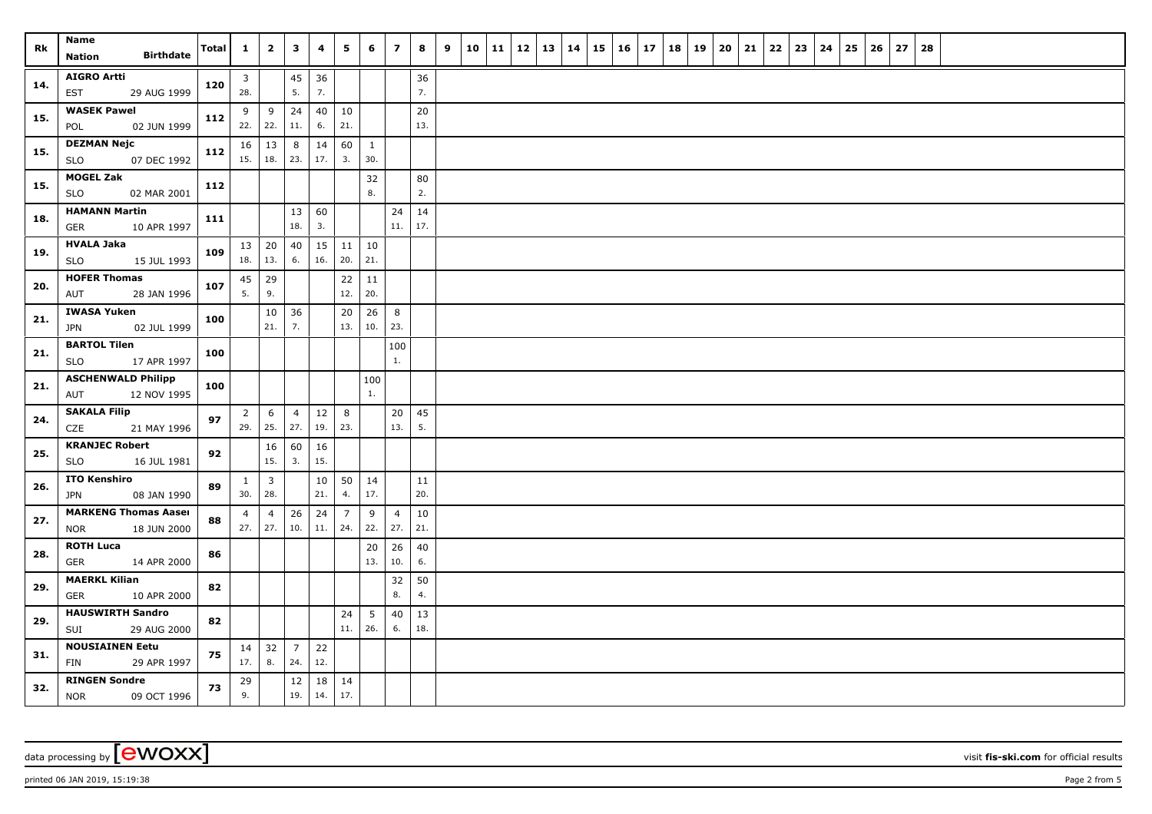| Rk  | Name<br><b>Birthdate</b><br><b>Nation</b>                | Total | $\mathbf{1}$          | $\overline{\mathbf{2}}$     | $\mathbf{3}$          | 4         | 5                     | 6                   | $\overline{\mathbf{z}}$ | 8             | 9 | 10 | $\vert$ 11 | $12 \mid 13$ | 14 | 15 | $16 \mid 17$ | 18 | 19 | 20 | 21 | 22 | 23 | 24 | 25 | 26 | 27 | 28 |  |  |  |
|-----|----------------------------------------------------------|-------|-----------------------|-----------------------------|-----------------------|-----------|-----------------------|---------------------|-------------------------|---------------|---|----|------------|--------------|----|----|--------------|----|----|----|----|----|----|----|----|----|----|----|--|--|--|
| 14. | <b>AIGRO Artti</b><br>EST<br>29 AUG 1999                 | 120   | $\mathbf{3}$<br>28.   |                             | $45\,$<br>5.          | 36<br>7.  |                       |                     |                         | 36<br>7.      |   |    |            |              |    |    |              |    |    |    |    |    |    |    |    |    |    |    |  |  |  |
| 15. | <b>WASEK Pawel</b><br>02 JUN 1999<br>POL                 | 112   | 9                     | 9<br>$22.$ 22.              | 24<br>11.             | 40<br>6.  | 10<br>21.             |                     |                         | $20\,$<br>13. |   |    |            |              |    |    |              |    |    |    |    |    |    |    |    |    |    |    |  |  |  |
| 15. | <b>DEZMAN Nejc</b><br>07 DEC 1992<br><b>SLO</b>          | 112   | 15.                   | $16 \mid 13$<br>18.         | 8<br>23.              | 14<br>17. | 60<br>3.              | $\mathbf{1}$<br>30. |                         |               |   |    |            |              |    |    |              |    |    |    |    |    |    |    |    |    |    |    |  |  |  |
| 15. | <b>MOGEL Zak</b><br><b>SLO</b><br>02 MAR 2001            | 112   |                       |                             |                       |           |                       | 32<br>8.            |                         | 80<br>2.      |   |    |            |              |    |    |              |    |    |    |    |    |    |    |    |    |    |    |  |  |  |
| 18. | <b>HAMANN Martin</b><br>10 APR 1997<br><b>GER</b>        | 111   |                       |                             | 13<br>18.             | 60<br>3.  |                       |                     | 24<br>11.               | 14<br>17.     |   |    |            |              |    |    |              |    |    |    |    |    |    |    |    |    |    |    |  |  |  |
| 19. | <b>HVALA Jaka</b><br><b>SLO</b><br>15 JUL 1993           | 109   | 18.                   | $13 \mid 20$<br>13.         | 40<br>6.              | 15<br>16. | 11<br>20.             | 10<br>21.           |                         |               |   |    |            |              |    |    |              |    |    |    |    |    |    |    |    |    |    |    |  |  |  |
| 20. | <b>HOFER Thomas</b><br>28 JAN 1996<br>AUT                | 107   | 45<br>5.              | 29<br>9.                    |                       |           | 22<br>12.             | 11<br>20.           |                         |               |   |    |            |              |    |    |              |    |    |    |    |    |    |    |    |    |    |    |  |  |  |
| 21. | <b>IWASA Yuken</b><br>02 JUL 1999<br>JPN                 | 100   |                       | 10<br>21.                   | 36<br>7.              |           | 20<br>13.             | 26<br>10.           | 8<br>23.                |               |   |    |            |              |    |    |              |    |    |    |    |    |    |    |    |    |    |    |  |  |  |
| 21. | <b>BARTOL Tilen</b><br>17 APR 1997<br>SLO                | 100   |                       |                             |                       |           |                       |                     | 100<br>1.               |               |   |    |            |              |    |    |              |    |    |    |    |    |    |    |    |    |    |    |  |  |  |
| 21. | <b>ASCHENWALD Philipp</b><br>AUT<br>12 NOV 1995          | 100   |                       |                             |                       |           |                       | 100<br>1.           |                         |               |   |    |            |              |    |    |              |    |    |    |    |    |    |    |    |    |    |    |  |  |  |
| 24. | <b>SAKALA Filip</b><br>CZE<br>21 MAY 1996                | 97    | $\overline{2}$<br>29. | 6<br>25.                    | $\overline{4}$<br>27. | 12<br>19. | 8<br>23.              |                     | 20<br>13.               | 45<br>5.      |   |    |            |              |    |    |              |    |    |    |    |    |    |    |    |    |    |    |  |  |  |
| 25. | <b>KRANJEC Robert</b><br><b>SLO</b><br>16 JUL 1981       | 92    |                       | 16<br>15.                   | 60<br>3.              | 16<br>15. |                       |                     |                         |               |   |    |            |              |    |    |              |    |    |    |    |    |    |    |    |    |    |    |  |  |  |
| 26. | <b>ITO Kenshiro</b><br>08 JAN 1990<br>JPN                | 89    | $\mathbf{1}$<br>30.   | $\overline{3}$<br>28.       |                       | 10<br>21. | 50<br>4.              | 14<br>17.           |                         | 11<br>20.     |   |    |            |              |    |    |              |    |    |    |    |    |    |    |    |    |    |    |  |  |  |
| 27. | <b>MARKENG Thomas Aaser</b><br>18 JUN 2000<br><b>NOR</b> | 88    | $\overline{4}$        | $\overline{4}$<br>$27.$ 27. | 26<br>10.             | 24<br>11. | $\overline{7}$<br>24. | 9<br>22.            | $\overline{4}$<br>27.   | 10<br>21.     |   |    |            |              |    |    |              |    |    |    |    |    |    |    |    |    |    |    |  |  |  |
| 28. | <b>ROTH Luca</b><br><b>GER</b><br>14 APR 2000            | 86    |                       |                             |                       |           |                       | 20<br>13.           | 26<br>10.               | 40<br>6.      |   |    |            |              |    |    |              |    |    |    |    |    |    |    |    |    |    |    |  |  |  |
| 29. | <b>MAERKL Kilian</b><br><b>GER</b><br>10 APR 2000        | 82    |                       |                             |                       |           |                       |                     | 32<br>8.                | 50<br>4.      |   |    |            |              |    |    |              |    |    |    |    |    |    |    |    |    |    |    |  |  |  |
| 29. | <b>HAUSWIRTH Sandro</b><br>29 AUG 2000<br>SUI            | 82    |                       |                             |                       |           | 24<br>11.             | 5<br>26.            | 40<br>6.                | 13<br>18.     |   |    |            |              |    |    |              |    |    |    |    |    |    |    |    |    |    |    |  |  |  |
| 31. | <b>NOUSIAINEN Eetu</b><br>FIN<br>29 APR 1997             | 75    | 17.                   | $14 \mid 32$<br>8.          | $\overline{7}$<br>24. | 22<br>12. |                       |                     |                         |               |   |    |            |              |    |    |              |    |    |    |    |    |    |    |    |    |    |    |  |  |  |
| 32. | <b>RINGEN Sondre</b><br>09 OCT 1996<br><b>NOR</b>        | 73    | 29<br>9.              |                             | $12\,$<br>19.         | 18<br>14. | 14<br>17.             |                     |                         |               |   |    |            |              |    |    |              |    |    |    |    |    |    |    |    |    |    |    |  |  |  |

printed 06 JAN 2019, 15:19:38 Page 2 from 5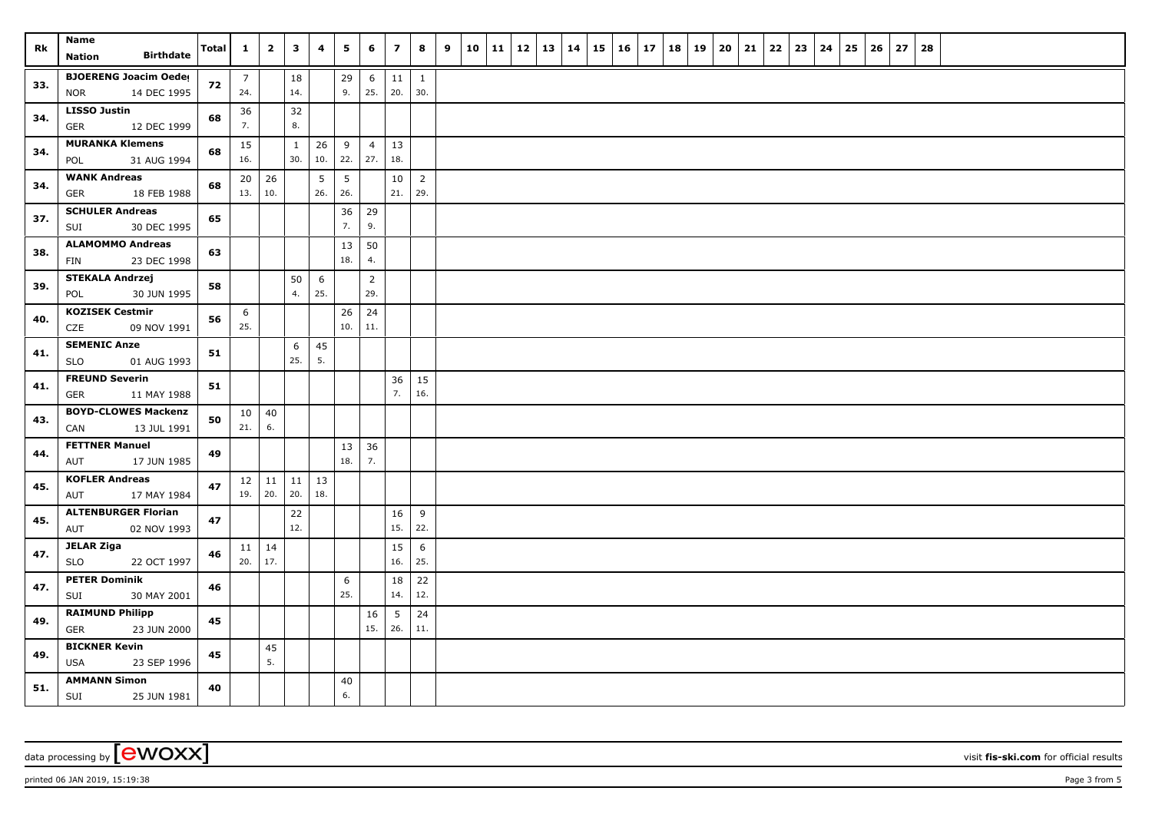| Rk  | Name<br><b>Birthdate</b><br>Nation                        | Total | $\mathbf{1}$          | $\overline{\mathbf{2}}$ | 3                   | 4         | 5         | 6                     | $\overline{z}$         | 8                     | 9 | $10 \mid 11 \mid$ | 12 | 13 | 14 | 15 | $16 \mid 17$ | 18 | 19 | 20 | 21 | 22 | 23 | 24 | 25 | 26 | 27 | 28 |  |  |  |
|-----|-----------------------------------------------------------|-------|-----------------------|-------------------------|---------------------|-----------|-----------|-----------------------|------------------------|-----------------------|---|-------------------|----|----|----|----|--------------|----|----|----|----|----|----|----|----|----|----|----|--|--|--|
| 33. | <b>BJOERENG Joacim Oeder</b><br>14 DEC 1995<br><b>NOR</b> | 72    | $\overline{7}$<br>24. |                         | 18<br>14.           |           | 29<br>9.  | 6<br>25.              | 11<br>20.              | 1<br>30.              |   |                   |    |    |    |    |              |    |    |    |    |    |    |    |    |    |    |    |  |  |  |
| 34. | <b>LISSO Justin</b><br>12 DEC 1999<br>GER                 | 68    | 36<br>7.              |                         | 32<br>8.            |           |           |                       |                        |                       |   |                   |    |    |    |    |              |    |    |    |    |    |    |    |    |    |    |    |  |  |  |
| 34. | <b>MURANKA Klemens</b><br>31 AUG 1994<br>POL              | 68    | 15<br>16.             |                         | $\mathbf{1}$<br>30. | 26<br>10. | 9<br>22.  | $\overline{4}$<br>27. | 13<br>18.              |                       |   |                   |    |    |    |    |              |    |    |    |    |    |    |    |    |    |    |    |  |  |  |
| 34. | <b>WANK Andreas</b><br>GER<br>18 FEB 1988                 | 68    | 20<br>13.             | 26<br>10.               |                     | 5<br>26.  | 5<br>26.  |                       | 10<br>21.              | $\overline{2}$<br>29. |   |                   |    |    |    |    |              |    |    |    |    |    |    |    |    |    |    |    |  |  |  |
| 37. | <b>SCHULER Andreas</b><br>30 DEC 1995<br>SUI              | 65    |                       |                         |                     |           | 36<br>7.  | 29<br>9.              |                        |                       |   |                   |    |    |    |    |              |    |    |    |    |    |    |    |    |    |    |    |  |  |  |
| 38. | <b>ALAMOMMO Andreas</b><br>23 DEC 1998<br>FIN             | 63    |                       |                         |                     |           | 13<br>18. | 50<br>4.              |                        |                       |   |                   |    |    |    |    |              |    |    |    |    |    |    |    |    |    |    |    |  |  |  |
| 39. | <b>STEKALA Andrzej</b><br>POL<br>30 JUN 1995              | 58    |                       |                         | 50<br>4.            | 6<br>25.  |           | $\overline{2}$<br>29. |                        |                       |   |                   |    |    |    |    |              |    |    |    |    |    |    |    |    |    |    |    |  |  |  |
| 40. | <b>KOZISEK Cestmir</b><br>CZE<br>09 NOV 1991              | 56    | 6<br>25.              |                         |                     |           | 26<br>10. | 24<br>11.             |                        |                       |   |                   |    |    |    |    |              |    |    |    |    |    |    |    |    |    |    |    |  |  |  |
| 41. | <b>SEMENIC Anze</b><br>01 AUG 1993<br><b>SLO</b>          | 51    |                       |                         | 6<br>25.            | 45<br>5.  |           |                       |                        |                       |   |                   |    |    |    |    |              |    |    |    |    |    |    |    |    |    |    |    |  |  |  |
| 41. | <b>FREUND Severin</b><br>11 MAY 1988<br>GER               | 51    |                       |                         |                     |           |           |                       | 36<br>7.               | 15<br>16.             |   |                   |    |    |    |    |              |    |    |    |    |    |    |    |    |    |    |    |  |  |  |
| 43. | <b>BOYD-CLOWES Mackenzi</b><br>CAN<br>13 JUL 1991         | 50    | 10<br>21.             | 40<br>6.                |                     |           |           |                       |                        |                       |   |                   |    |    |    |    |              |    |    |    |    |    |    |    |    |    |    |    |  |  |  |
| 44. | <b>FETTNER Manuel</b><br>AUT<br>17 JUN 1985               | 49    |                       |                         |                     |           | 13<br>18. | 36<br>7.              |                        |                       |   |                   |    |    |    |    |              |    |    |    |    |    |    |    |    |    |    |    |  |  |  |
| 45. | <b>KOFLER Andreas</b><br>AUT<br>17 MAY 1984               | 47    | 19.                   | $12 \mid 11$<br>20.     | 11<br>20.           | 13<br>18. |           |                       |                        |                       |   |                   |    |    |    |    |              |    |    |    |    |    |    |    |    |    |    |    |  |  |  |
| 45. | <b>ALTENBURGER Florian</b><br>02 NOV 1993<br>AUT          | 47    |                       |                         | 22<br>12.           |           |           |                       | 16<br>15.              | 9<br>22.              |   |                   |    |    |    |    |              |    |    |    |    |    |    |    |    |    |    |    |  |  |  |
| 47. | <b>JELAR Ziga</b><br><b>SLO</b><br>22 OCT 1997            | 46    | $11 \mid 14$<br>20.   | 17.                     |                     |           |           |                       | 15<br>16.              | 6<br>25.              |   |                   |    |    |    |    |              |    |    |    |    |    |    |    |    |    |    |    |  |  |  |
| 47. | <b>PETER Dominik</b><br>30 MAY 2001<br>SUI                | 46    |                       |                         |                     |           | 6<br>25.  |                       | 18<br>14.              | 22<br>12.             |   |                   |    |    |    |    |              |    |    |    |    |    |    |    |    |    |    |    |  |  |  |
| 49. | <b>RAIMUND Philipp</b><br>GER<br>23 JUN 2000              | 45    |                       |                         |                     |           |           | 16<br>15.             | $5\phantom{.0}$<br>26. | 24<br>11.             |   |                   |    |    |    |    |              |    |    |    |    |    |    |    |    |    |    |    |  |  |  |
| 49. | <b>BICKNER Kevin</b><br><b>USA</b><br>23 SEP 1996         | 45    |                       | 45<br>5.                |                     |           |           |                       |                        |                       |   |                   |    |    |    |    |              |    |    |    |    |    |    |    |    |    |    |    |  |  |  |
| 51. | <b>AMMANN Simon</b><br>SUI<br>25 JUN 1981                 | 40    |                       |                         |                     |           | 40<br>6.  |                       |                        |                       |   |                   |    |    |    |    |              |    |    |    |    |    |    |    |    |    |    |    |  |  |  |

data processing by **CWOXX** visit **fis-ski.com** for official results

printed 06 JAN 2019, 15:19:38 Page 3 from 5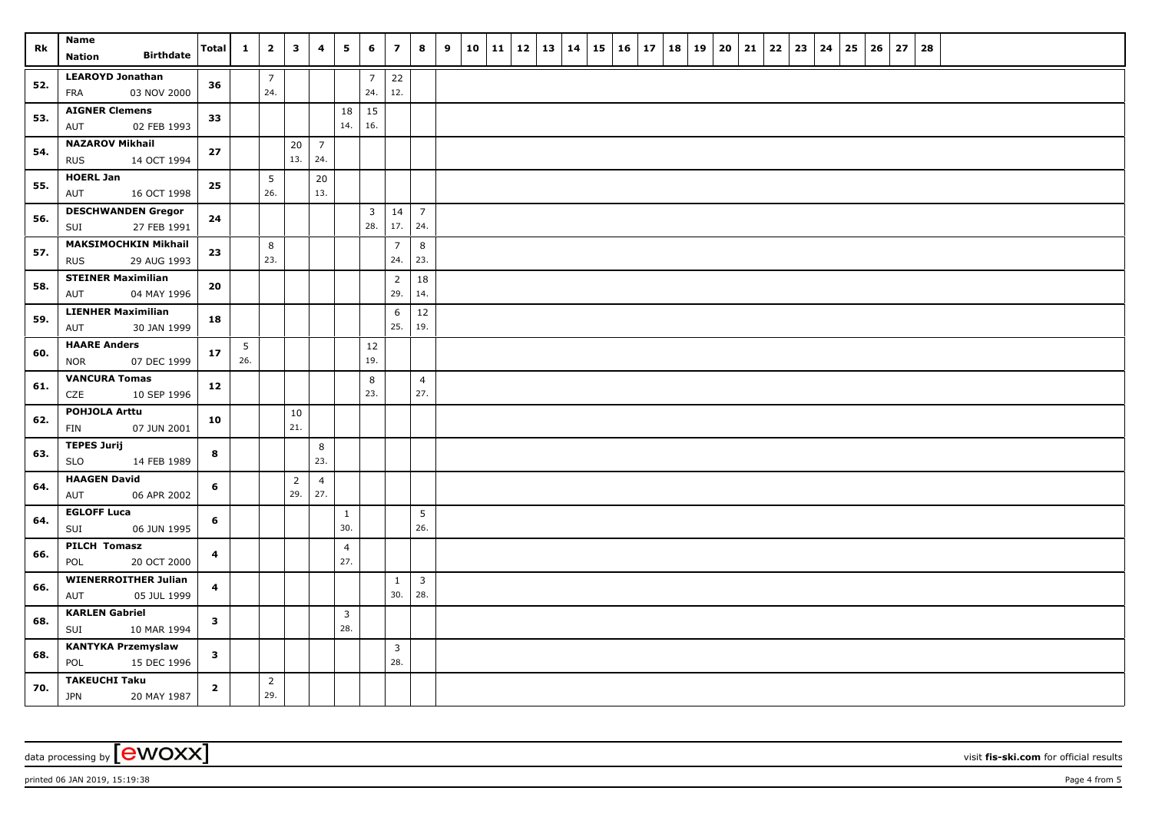| Rk  | <b>Name</b><br><b>Birthdate</b><br>Nation                | Total        | $\mathbf{1}$           | $\overline{\mathbf{2}}$ | $\mathbf{3}$          | 4                     | 5                              | 6                     | $\overline{\phantom{a}}$ | 8                              | 9 | $10 \mid 11 \mid$ | 12 | 13   14 | 15 | $16 \mid 17$ | 18 | 19 | 20 | 21 | 22 | 23 | 24 | 25 | 26 | 27 | 28 |  |  |  |
|-----|----------------------------------------------------------|--------------|------------------------|-------------------------|-----------------------|-----------------------|--------------------------------|-----------------------|--------------------------|--------------------------------|---|-------------------|----|---------|----|--------------|----|----|----|----|----|----|----|----|----|----|----|--|--|--|
| 52. | <b>LEAROYD Jonathan</b><br>FRA<br>03 NOV 2000            | 36           |                        | $\overline{7}$<br>24.   |                       |                       |                                | $\overline{7}$<br>24. | 22<br>12.                |                                |   |                   |    |         |    |              |    |    |    |    |    |    |    |    |    |    |    |  |  |  |
| 53. | <b>AIGNER Clemens</b><br>02 FEB 1993<br>AUT              | 33           |                        |                         |                       |                       | 18<br>14.                      | 15<br>16.             |                          |                                |   |                   |    |         |    |              |    |    |    |    |    |    |    |    |    |    |    |  |  |  |
| 54. | <b>NAZAROV Mikhail</b><br>14 OCT 1994<br><b>RUS</b>      | $27$         |                        |                         | 20<br>13.             | $\overline{7}$<br>24. |                                |                       |                          |                                |   |                   |    |         |    |              |    |    |    |    |    |    |    |    |    |    |    |  |  |  |
| 55. | <b>HOERL Jan</b><br>AUT<br>16 OCT 1998                   | 25           |                        | 5<br>26.                |                       | 20<br>13.             |                                |                       |                          |                                |   |                   |    |         |    |              |    |    |    |    |    |    |    |    |    |    |    |  |  |  |
| 56. | <b>DESCHWANDEN Gregor</b><br>27 FEB 1991<br>SUI          | 24           |                        |                         |                       |                       |                                | 3<br>28.              | 14<br>17.                | $\overline{7}$<br>24.          |   |                   |    |         |    |              |    |    |    |    |    |    |    |    |    |    |    |  |  |  |
| 57. | <b>MAKSIMOCHKIN Mikhail</b><br><b>RUS</b><br>29 AUG 1993 | 23           |                        | 8<br>23.                |                       |                       |                                |                       | $\overline{7}$<br>24.    | 8<br>23.                       |   |                   |    |         |    |              |    |    |    |    |    |    |    |    |    |    |    |  |  |  |
| 58. | <b>STEINER Maximilian</b><br>04 MAY 1996<br>AUT          | 20           |                        |                         |                       |                       |                                |                       | $\overline{2}$<br>29.    | 18<br>14.                      |   |                   |    |         |    |              |    |    |    |    |    |    |    |    |    |    |    |  |  |  |
| 59. | <b>LIENHER Maximilian</b><br>AUT<br>30 JAN 1999          | 18           |                        |                         |                       |                       |                                |                       | 6<br>25.                 | 12<br>19.                      |   |                   |    |         |    |              |    |    |    |    |    |    |    |    |    |    |    |  |  |  |
| 60. | <b>HAARE Anders</b><br><b>NOR</b><br>07 DEC 1999         | 17           | $5\phantom{.0}$<br>26. |                         |                       |                       |                                | $12\,$<br>19.         |                          |                                |   |                   |    |         |    |              |    |    |    |    |    |    |    |    |    |    |    |  |  |  |
| 61. | <b>VANCURA Tomas</b><br>CZE<br>10 SEP 1996               | 12           |                        |                         |                       |                       |                                | 8<br>23.              |                          | $\overline{4}$<br>27.          |   |                   |    |         |    |              |    |    |    |    |    |    |    |    |    |    |    |  |  |  |
| 62. | <b>POHJOLA Arttu</b><br>FIN<br>07 JUN 2001               | 10           |                        |                         | 10<br>21.             |                       |                                |                       |                          |                                |   |                   |    |         |    |              |    |    |    |    |    |    |    |    |    |    |    |  |  |  |
| 63. | <b>TEPES Jurij</b><br><b>SLO</b><br>14 FEB 1989          | 8            |                        |                         |                       | 8<br>23.              |                                |                       |                          |                                |   |                   |    |         |    |              |    |    |    |    |    |    |    |    |    |    |    |  |  |  |
| 64. | <b>HAAGEN David</b><br>AUT<br>06 APR 2002                | 6            |                        |                         | $\overline{2}$<br>29. | $\overline{4}$<br>27. |                                |                       |                          |                                |   |                   |    |         |    |              |    |    |    |    |    |    |    |    |    |    |    |  |  |  |
| 64. | <b>EGLOFF Luca</b><br>06 JUN 1995<br>SUI                 | 6            |                        |                         |                       |                       | $\mathbf{1}$<br>30.            |                       |                          | 5<br>26.                       |   |                   |    |         |    |              |    |    |    |    |    |    |    |    |    |    |    |  |  |  |
| 66. | <b>PILCH Tomasz</b><br>POL<br>20 OCT 2000                | 4            |                        |                         |                       |                       | $\overline{4}$<br>27.          |                       |                          |                                |   |                   |    |         |    |              |    |    |    |    |    |    |    |    |    |    |    |  |  |  |
| 66. | <b>WIENERROITHER Julian</b><br>AUT<br>05 JUL 1999        | 4            |                        |                         |                       |                       |                                |                       | $\mathbf{1}$<br>30.      | $\overline{\mathbf{3}}$<br>28. |   |                   |    |         |    |              |    |    |    |    |    |    |    |    |    |    |    |  |  |  |
| 68. | <b>KARLEN Gabriel</b><br>SUI<br>10 MAR 1994              | $\mathbf{3}$ |                        |                         |                       |                       | $\overline{\mathbf{3}}$<br>28. |                       |                          |                                |   |                   |    |         |    |              |    |    |    |    |    |    |    |    |    |    |    |  |  |  |
| 68. | <b>KANTYKA Przemyslaw</b><br>POL<br>15 DEC 1996          | $\mathbf{3}$ |                        |                         |                       |                       |                                |                       | $\mathbf{3}$<br>28.      |                                |   |                   |    |         |    |              |    |    |    |    |    |    |    |    |    |    |    |  |  |  |
| 70. | <b>TAKEUCHI Taku</b><br><b>JPN</b><br>20 MAY 1987        | $\mathbf{2}$ |                        | $\overline{2}$<br>29.   |                       |                       |                                |                       |                          |                                |   |                   |    |         |    |              |    |    |    |    |    |    |    |    |    |    |    |  |  |  |

data processing by **CWOXX** visit **fis-ski.com** for official results

printed 06 JAN 2019, 15:19:38 Page 4 from 5